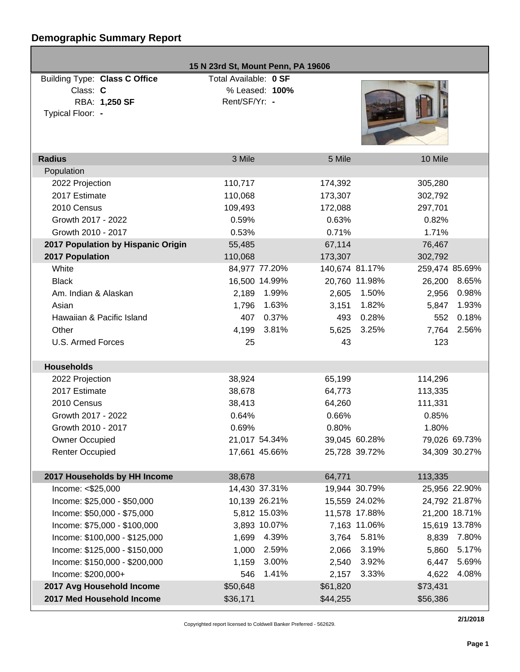# **Demographic Summary Report**

| 15 N 23rd St, Mount Penn, PA 19606 |                       |                |                |               |                 |  |
|------------------------------------|-----------------------|----------------|----------------|---------------|-----------------|--|
| Building Type: Class C Office      | Total Available: 0 SF |                |                |               |                 |  |
| Class: C                           |                       | % Leased: 100% |                |               |                 |  |
| RBA: 1,250 SF                      | Rent/SF/Yr: -         |                |                |               |                 |  |
| Typical Floor: -                   |                       |                |                |               |                 |  |
|                                    |                       |                |                |               |                 |  |
|                                    |                       |                |                |               |                 |  |
| <b>Radius</b>                      | 3 Mile                |                | 5 Mile         |               | 10 Mile         |  |
| Population                         |                       |                |                |               |                 |  |
| 2022 Projection                    | 110,717               |                | 174,392        |               | 305,280         |  |
| 2017 Estimate                      | 110,068               |                | 173,307        |               | 302,792         |  |
| 2010 Census                        | 109,493               |                | 172,088        |               | 297,701         |  |
| Growth 2017 - 2022                 | 0.59%                 |                | 0.63%          |               | 0.82%           |  |
| Growth 2010 - 2017                 | 0.53%                 |                | 0.71%          |               | 1.71%           |  |
| 2017 Population by Hispanic Origin | 55,485                |                | 67,114         |               | 76,467          |  |
| 2017 Population                    | 110,068               |                | 173,307        |               | 302,792         |  |
| White                              | 84,977 77.20%         |                | 140,674 81.17% |               | 259,474 85.69%  |  |
| <b>Black</b>                       | 16,500 14.99%         |                |                | 20,760 11.98% | 8.65%<br>26,200 |  |
| Am. Indian & Alaskan               | 2,189                 | 1.99%          | 2,605          | 1.50%         | 0.98%<br>2,956  |  |
| Asian                              | 1,796                 | 1.63%          | 3,151          | 1.82%         | 1.93%<br>5,847  |  |
| Hawaiian & Pacific Island          | 407                   | 0.37%          | 493            | 0.28%         | 0.18%<br>552    |  |
| Other                              | 4,199                 | 3.81%          | 5,625          | 3.25%         | 2.56%<br>7,764  |  |
| <b>U.S. Armed Forces</b>           | 25                    |                | 43             |               | 123             |  |
|                                    |                       |                |                |               |                 |  |
| <b>Households</b>                  |                       |                |                |               |                 |  |
| 2022 Projection                    | 38,924                |                | 65,199         |               | 114,296         |  |
| 2017 Estimate                      | 38,678                |                | 64,773         |               | 113,335         |  |
| 2010 Census                        | 38,413                |                | 64,260         |               | 111,331         |  |
| Growth 2017 - 2022                 | 0.64%                 |                | 0.66%          |               | 0.85%           |  |
| Growth 2010 - 2017                 | 0.69%                 |                | 0.80%          |               | 1.80%           |  |
| <b>Owner Occupied</b>              | 21,017 54.34%         |                |                | 39,045 60.28% | 79,026 69.73%   |  |
| <b>Renter Occupied</b>             | 17,661 45.66%         |                |                | 25,728 39.72% | 34,309 30.27%   |  |
|                                    |                       |                |                |               |                 |  |
| 2017 Households by HH Income       | 38,678                |                | 64,771         |               | 113,335         |  |
| Income: <\$25,000                  | 14,430 37.31%         |                |                | 19,944 30.79% | 25,956 22.90%   |  |
| Income: \$25,000 - \$50,000        | 10,139 26.21%         |                |                | 15,559 24.02% | 24,792 21.87%   |  |
| Income: \$50,000 - \$75,000        |                       | 5,812 15.03%   |                | 11,578 17.88% | 21,200 18.71%   |  |
| Income: \$75,000 - \$100,000       |                       | 3,893 10.07%   |                | 7,163 11.06%  | 15,619 13.78%   |  |
| Income: \$100,000 - \$125,000      | 1,699                 | 4.39%          |                | 3,764 5.81%   | 7.80%<br>8,839  |  |
| Income: \$125,000 - \$150,000      | 1,000                 | 2.59%          | 2,066          | 3.19%         | 5.17%<br>5,860  |  |
| Income: \$150,000 - \$200,000      | 1,159                 | 3.00%          | 2,540          | 3.92%         | 5.69%<br>6,447  |  |
| Income: \$200,000+                 | 546                   | 1.41%          | 2,157          | 3.33%         | 4.08%<br>4,622  |  |
| 2017 Avg Household Income          | \$50,648              |                | \$61,820       |               | \$73,431        |  |
| 2017 Med Household Income          | \$36,171              |                | \$44,255       |               | \$56,386        |  |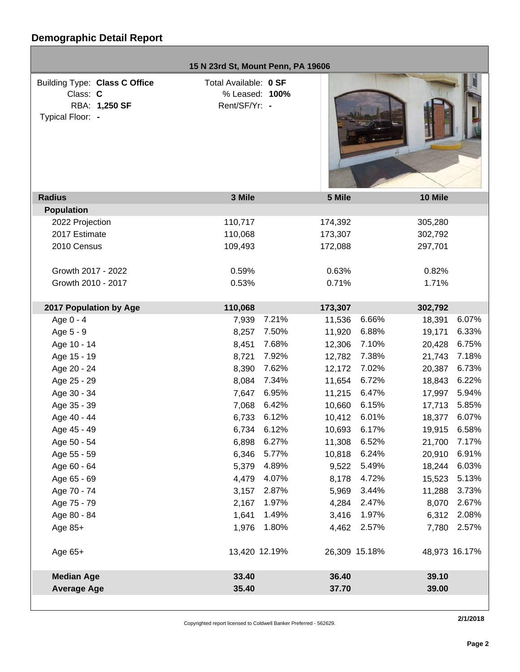|                               | 15 N 23rd St, Mount Penn, PA 19606 |       |         |               |               |       |
|-------------------------------|------------------------------------|-------|---------|---------------|---------------|-------|
| Building Type: Class C Office | Total Available: 0 SF              |       |         |               |               |       |
| Class: C                      | % Leased: 100%                     |       |         |               |               |       |
| RBA: 1,250 SF                 | Rent/SF/Yr: -                      |       |         |               |               |       |
| Typical Floor: -              |                                    |       |         |               |               |       |
|                               |                                    |       |         |               |               |       |
|                               |                                    |       |         |               |               |       |
|                               |                                    |       |         |               |               |       |
|                               |                                    |       |         |               |               |       |
|                               |                                    |       |         |               |               |       |
| <b>Radius</b>                 | 3 Mile                             |       | 5 Mile  |               | 10 Mile       |       |
| <b>Population</b>             |                                    |       |         |               |               |       |
| 2022 Projection               | 110,717                            |       | 174,392 |               | 305,280       |       |
| 2017 Estimate                 | 110,068                            |       | 173,307 |               | 302,792       |       |
| 2010 Census                   | 109,493                            |       | 172,088 |               | 297,701       |       |
|                               |                                    |       |         |               |               |       |
| Growth 2017 - 2022            | 0.59%                              |       | 0.63%   |               | 0.82%         |       |
| Growth 2010 - 2017            | 0.53%                              |       | 0.71%   |               | 1.71%         |       |
|                               |                                    |       |         |               |               |       |
| 2017 Population by Age        | 110,068                            |       | 173,307 |               | 302,792       |       |
| Age 0 - 4                     | 7,939                              | 7.21% | 11,536  | 6.66%         | 18,391        | 6.07% |
| Age 5 - 9                     | 8,257                              | 7.50% | 11,920  | 6.88%         | 19,171        | 6.33% |
| Age 10 - 14                   | 8,451                              | 7.68% | 12,306  | 7.10%         | 20,428        | 6.75% |
| Age 15 - 19                   | 8,721                              | 7.92% | 12,782  | 7.38%         | 21,743        | 7.18% |
| Age 20 - 24                   | 8,390                              | 7.62% | 12,172  | 7.02%         | 20,387        | 6.73% |
| Age 25 - 29                   | 8,084                              | 7.34% | 11,654  | 6.72%         | 18,843        | 6.22% |
| Age 30 - 34                   | 7,647                              | 6.95% | 11,215  | 6.47%         | 17,997        | 5.94% |
| Age 35 - 39                   | 7,068                              | 6.42% | 10,660  | 6.15%         | 17,713        | 5.85% |
| Age 40 - 44                   | 6,733                              | 6.12% | 10,412  | 6.01%         | 18,377        | 6.07% |
| Age 45 - 49                   | 6,734                              | 6.12% | 10,693  | 6.17%         | 19,915        | 6.58% |
| Age 50 - 54                   | 6,898                              | 6.27% | 11,308  | 6.52%         | 21,700        | 7.17% |
| Age 55 - 59                   | 6,346                              | 5.77% | 10,818  | 6.24%         | 20,910        | 6.91% |
| Age 60 - 64                   | 5,379                              | 4.89% | 9,522   | 5.49%         | 18,244        | 6.03% |
| Age 65 - 69                   | 4,479                              | 4.07% | 8,178   | 4.72%         | 15,523        | 5.13% |
| Age 70 - 74                   | 3,157                              | 2.87% | 5,969   | 3.44%         | 11,288        | 3.73% |
| Age 75 - 79                   | 2,167                              | 1.97% | 4,284   | 2.47%         | 8,070         | 2.67% |
| Age 80 - 84                   | 1,641                              | 1.49% | 3,416   | 1.97%         | 6,312         | 2.08% |
| Age 85+                       | 1,976                              | 1.80% | 4,462   | 2.57%         | 7,780         | 2.57% |
| Age 65+                       | 13,420 12.19%                      |       |         | 26,309 15.18% | 48,973 16.17% |       |
|                               |                                    |       |         |               |               |       |
| <b>Median Age</b>             | 33.40                              |       | 36.40   |               | 39.10         |       |
| <b>Average Age</b>            | 35.40                              |       | 37.70   |               | 39.00         |       |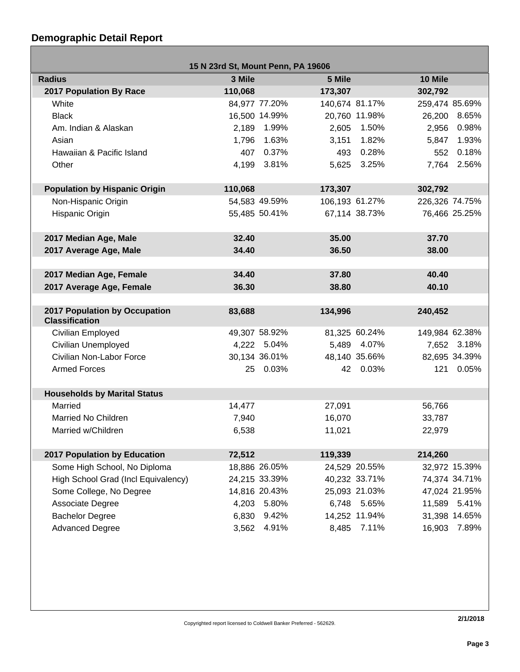## **Demographic Detail Report**

г

| 15 N 23rd St, Mount Penn, PA 19606                          |                 |               |                  |                |                           |               |
|-------------------------------------------------------------|-----------------|---------------|------------------|----------------|---------------------------|---------------|
| <b>Radius</b>                                               | 3 Mile          |               | 5 Mile           |                | 10 Mile                   |               |
| <b>2017 Population By Race</b>                              | 110,068         |               | 173,307          |                | 302,792                   |               |
| White                                                       |                 | 84,977 77.20% |                  | 140,674 81.17% | 259,474 85.69%            |               |
| <b>Black</b>                                                |                 | 16,500 14.99% |                  | 20,760 11.98%  | 26,200                    | 8.65%         |
| Am. Indian & Alaskan                                        | 2,189           | 1.99%         | 2,605            | 1.50%          | 2,956                     | 0.98%         |
| Asian                                                       | 1,796           | 1.63%         | 3,151            | 1.82%          | 5,847                     | 1.93%         |
| Hawaiian & Pacific Island                                   | 407             | 0.37%         | 493              | 0.28%          | 552                       | 0.18%         |
| Other                                                       |                 | 4,199 3.81%   |                  | 5,625 3.25%    |                           | 7,764 2.56%   |
|                                                             | 110,068         |               | 173,307          |                |                           |               |
| <b>Population by Hispanic Origin</b><br>Non-Hispanic Origin |                 | 54,583 49.59% |                  | 106,193 61.27% | 302,792<br>226,326 74.75% |               |
|                                                             |                 |               |                  |                |                           |               |
| Hispanic Origin                                             |                 | 55,485 50.41% |                  | 67,114 38.73%  |                           | 76,466 25.25% |
| 2017 Median Age, Male                                       | 32.40           |               | 35.00            |                | 37.70                     |               |
| 2017 Average Age, Male                                      | 34.40           |               | 36.50            |                | 38.00                     |               |
|                                                             |                 |               |                  |                |                           |               |
| 2017 Median Age, Female                                     | 34.40           |               | 37.80            |                | 40.40                     |               |
| 2017 Average Age, Female                                    | 36.30           |               | 38.80            |                | 40.10                     |               |
|                                                             |                 |               |                  |                |                           |               |
| 2017 Population by Occupation<br><b>Classification</b>      | 83,688          |               | 134,996          |                | 240,452                   |               |
| Civilian Employed                                           |                 | 49,307 58.92% |                  | 81,325 60.24%  | 149,984 62.38%            |               |
| <b>Civilian Unemployed</b>                                  |                 | 4,222 5.04%   |                  | 5,489 4.07%    |                           | 7,652 3.18%   |
| Civilian Non-Labor Force                                    |                 | 30,134 36.01% |                  | 48,140 35.66%  |                           | 82,695 34.39% |
| <b>Armed Forces</b>                                         |                 | 25 0.03%      |                  | 42 0.03%       | 121                       | 0.05%         |
|                                                             |                 |               |                  |                |                           |               |
| <b>Households by Marital Status</b><br>Married              |                 |               |                  |                |                           |               |
| Married No Children                                         | 14,477<br>7,940 |               | 27,091<br>16,070 |                | 56,766                    |               |
| Married w/Children                                          |                 |               |                  |                | 33,787                    |               |
|                                                             | 6,538           |               | 11,021           |                | 22,979                    |               |
| 2017 Population by Education                                | 72,512          |               | 119,339          |                | 214,260                   |               |
| Some High School, No Diploma                                |                 | 18,886 26.05% |                  | 24,529 20.55%  |                           | 32,972 15.39% |
| High School Grad (Incl Equivalency)                         |                 | 24,215 33.39% |                  | 40,232 33.71%  |                           | 74,374 34.71% |
| Some College, No Degree                                     |                 | 14,816 20.43% |                  | 25,093 21.03%  |                           | 47,024 21.95% |
| Associate Degree                                            | 4,203           | 5.80%         | 6,748            | 5.65%          |                           | 11,589 5.41%  |
| <b>Bachelor Degree</b>                                      | 6,830           | 9.42%         |                  | 14,252 11.94%  |                           | 31,398 14.65% |
| <b>Advanced Degree</b>                                      | 3,562           | 4.91%         | 8,485            | 7.11%          | 16,903                    | 7.89%         |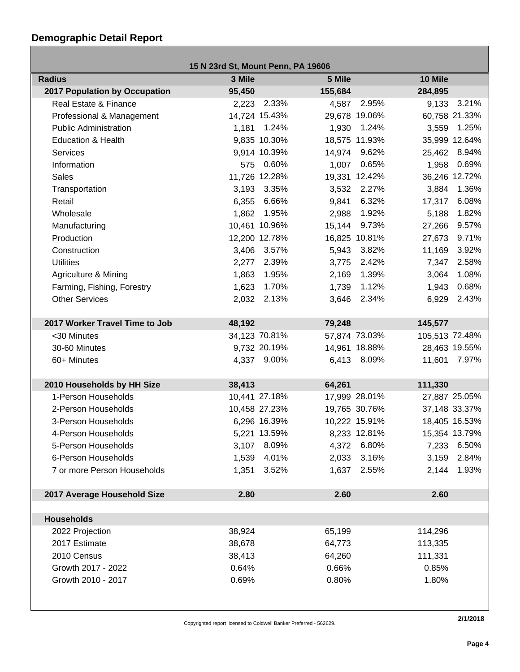## **Demographic Detail Report**

| 15 N 23rd St, Mount Penn, PA 19606   |        |               |         |               |                |               |
|--------------------------------------|--------|---------------|---------|---------------|----------------|---------------|
| <b>Radius</b>                        | 3 Mile |               | 5 Mile  |               | 10 Mile        |               |
| <b>2017 Population by Occupation</b> | 95,450 |               | 155,684 |               | 284,895        |               |
| Real Estate & Finance                |        | 2,223 2.33%   | 4,587   | 2.95%         |                | 9,133 3.21%   |
| Professional & Management            |        | 14,724 15.43% |         | 29,678 19.06% |                | 60,758 21.33% |
| <b>Public Administration</b>         |        | 1,181 1.24%   | 1,930   | 1.24%         | 3,559          | 1.25%         |
| Education & Health                   |        | 9,835 10.30%  |         | 18,575 11.93% |                | 35,999 12.64% |
| <b>Services</b>                      |        | 9,914 10.39%  | 14,974  | 9.62%         |                | 25,462 8.94%  |
| Information                          |        | 575 0.60%     | 1,007   | 0.65%         | 1,958          | 0.69%         |
| <b>Sales</b>                         |        | 11,726 12.28% |         | 19,331 12.42% |                | 36,246 12.72% |
| Transportation                       |        | 3,193 3.35%   | 3,532   | 2.27%         | 3,884          | 1.36%         |
| Retail                               | 6,355  | 6.66%         | 9,841   | 6.32%         | 17,317         | 6.08%         |
| Wholesale                            | 1,862  | 1.95%         | 2,988   | 1.92%         | 5,188          | 1.82%         |
| Manufacturing                        |        | 10,461 10.96% | 15,144  | 9.73%         | 27,266         | 9.57%         |
| Production                           |        | 12,200 12.78% |         | 16,825 10.81% | 27,673         | 9.71%         |
| Construction                         |        | 3,406 3.57%   | 5,943   | 3.82%         | 11,169         | 3.92%         |
| <b>Utilities</b>                     | 2,277  | 2.39%         | 3,775   | 2.42%         | 7,347          | 2.58%         |
| Agriculture & Mining                 | 1,863  | 1.95%         | 2,169   | 1.39%         | 3,064          | 1.08%         |
| Farming, Fishing, Forestry           | 1,623  | 1.70%         | 1,739   | 1.12%         | 1,943          | 0.68%         |
| <b>Other Services</b>                | 2,032  | 2.13%         | 3,646   | 2.34%         | 6,929          | 2.43%         |
|                                      |        |               |         |               |                |               |
| 2017 Worker Travel Time to Job       | 48,192 |               | 79,248  |               | 145,577        |               |
| <30 Minutes                          |        | 34,123 70.81% |         | 57,874 73.03% | 105,513 72.48% |               |
| 30-60 Minutes                        |        | 9,732 20.19%  |         | 14,961 18.88% |                | 28,463 19.55% |
| 60+ Minutes                          |        | 4,337 9.00%   |         | 6,413 8.09%   | 11,601         | 7.97%         |
|                                      |        |               |         |               |                |               |
| 2010 Households by HH Size           | 38,413 |               | 64,261  |               | 111,330        |               |
| 1-Person Households                  |        | 10,441 27.18% |         | 17,999 28.01% |                | 27,887 25.05% |
| 2-Person Households                  |        | 10,458 27.23% |         | 19,765 30.76% |                | 37,148 33.37% |
| 3-Person Households                  |        | 6,296 16.39%  |         | 10,222 15.91% |                | 18,405 16.53% |
| 4-Person Households                  |        | 5,221 13.59%  |         | 8,233 12.81%  |                | 15,354 13.79% |
| 5-Person Households                  |        | 3,107 8.09%   |         | 4,372 6.80%   |                | 7,233 6.50%   |
| 6-Person Households                  |        | 1,539 4.01%   | 2,033   | 3.16%         | 3,159          | 2.84%         |
| 7 or more Person Households          | 1,351  | 3.52%         | 1,637   | 2.55%         | 2,144          | 1.93%         |
|                                      |        |               |         |               |                |               |
| 2017 Average Household Size          | 2.80   |               | 2.60    |               | 2.60           |               |
|                                      |        |               |         |               |                |               |
| <b>Households</b>                    |        |               |         |               |                |               |
| 2022 Projection                      | 38,924 |               | 65,199  |               | 114,296        |               |
| 2017 Estimate                        | 38,678 |               | 64,773  |               | 113,335        |               |
| 2010 Census                          | 38,413 |               | 64,260  |               | 111,331        |               |
| Growth 2017 - 2022                   | 0.64%  |               | 0.66%   |               | 0.85%          |               |
| Growth 2010 - 2017                   | 0.69%  |               | 0.80%   |               | 1.80%          |               |
|                                      |        |               |         |               |                |               |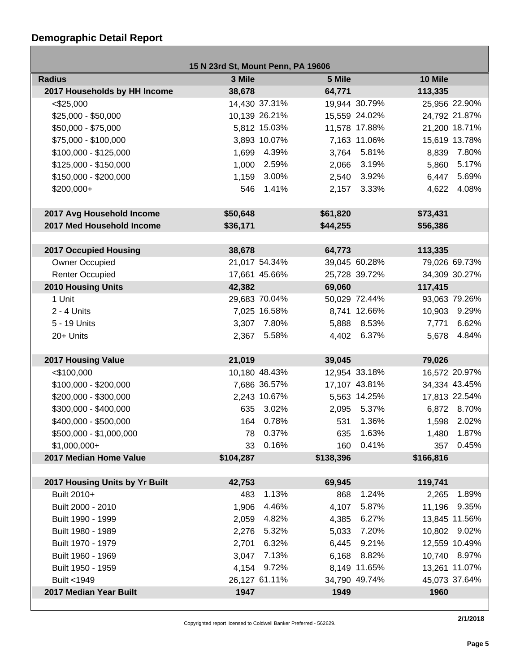## **Demographic Detail Report**

Г

| 15 N 23rd St, Mount Penn, PA 19606 |           |               |           |               |                 |  |
|------------------------------------|-----------|---------------|-----------|---------------|-----------------|--|
| <b>Radius</b>                      | 3 Mile    |               | 5 Mile    |               | 10 Mile         |  |
| 2017 Households by HH Income       | 38,678    |               | 64,771    |               | 113,335         |  |
| $<$ \$25,000                       |           | 14,430 37.31% |           | 19,944 30.79% | 25,956 22.90%   |  |
| $$25,000 - $50,000$                |           | 10,139 26.21% |           | 15,559 24.02% | 24,792 21.87%   |  |
| \$50,000 - \$75,000                |           | 5,812 15.03%  |           | 11,578 17.88% | 21,200 18.71%   |  |
| \$75,000 - \$100,000               |           | 3,893 10.07%  |           | 7,163 11.06%  | 15,619 13.78%   |  |
| $$100,000 - $125,000$              |           | 1,699 4.39%   |           | 3,764 5.81%   | 8,839 7.80%     |  |
| \$125,000 - \$150,000              |           | 1,000 2.59%   |           | 2,066 3.19%   | 5,860 5.17%     |  |
| \$150,000 - \$200,000              |           | 1,159 3.00%   | 2,540     | 3.92%         | 6,447<br>5.69%  |  |
| \$200,000+                         | 546       | 1.41%         |           | 2,157 3.33%   | 4,622 4.08%     |  |
|                                    |           |               |           |               |                 |  |
| 2017 Avg Household Income          | \$50,648  |               | \$61,820  |               | \$73,431        |  |
| 2017 Med Household Income          | \$36,171  |               | \$44,255  |               | \$56,386        |  |
|                                    |           |               |           |               |                 |  |
| <b>2017 Occupied Housing</b>       | 38,678    |               | 64,773    |               | 113,335         |  |
| <b>Owner Occupied</b>              |           | 21,017 54.34% |           | 39,045 60.28% | 79,026 69.73%   |  |
| <b>Renter Occupied</b>             |           | 17,661 45.66% |           | 25,728 39.72% | 34,309 30.27%   |  |
| <b>2010 Housing Units</b>          | 42,382    |               | 69,060    |               | 117,415         |  |
| 1 Unit                             |           | 29,683 70.04% |           | 50,029 72.44% | 93,063 79.26%   |  |
| $2 - 4$ Units                      |           | 7,025 16.58%  |           | 8,741 12.66%  | 10,903 9.29%    |  |
| 5 - 19 Units                       |           | 3,307 7.80%   |           | 5,888 8.53%   | 6.62%<br>7,771  |  |
| 20+ Units                          |           | 2,367 5.58%   |           | 4,402 6.37%   | 5,678 4.84%     |  |
|                                    |           |               |           |               |                 |  |
| 2017 Housing Value                 | 21,019    |               | 39,045    |               | 79,026          |  |
| $<$ \$100,000                      |           | 10,180 48.43% |           | 12,954 33.18% | 16,572 20.97%   |  |
| \$100,000 - \$200,000              |           | 7,686 36.57%  |           | 17,107 43.81% | 34,334 43.45%   |  |
| \$200,000 - \$300,000              |           | 2,243 10.67%  |           | 5,563 14.25%  | 17,813 22.54%   |  |
| \$300,000 - \$400,000              |           | 635 3.02%     |           | 2,095 5.37%   | 6,872 8.70%     |  |
| \$400,000 - \$500,000              |           | 164 0.78%     | 531       | 1.36%         | 1,598 2.02%     |  |
| \$500,000 - \$1,000,000            |           | 78 0.37%      |           | 635 1.63%     | 1,480 1.87%     |  |
| $$1,000,000+$                      | 33        | 0.16%         | 160       | 0.41%         | 357 0.45%       |  |
| 2017 Median Home Value             | \$104,287 |               | \$138,396 |               | \$166,816       |  |
|                                    |           |               |           |               |                 |  |
| 2017 Housing Units by Yr Built     | 42,753    |               | 69,945    |               | 119,741         |  |
| Built 2010+                        | 483       | 1.13%         | 868       | 1.24%         | 1.89%<br>2,265  |  |
| Built 2000 - 2010                  | 1,906     | 4.46%         | 4,107     | 5.87%         | 11,196<br>9.35% |  |
| Built 1990 - 1999                  | 2,059     | 4.82%         | 4,385     | 6.27%         | 13,845 11.56%   |  |
| Built 1980 - 1989                  | 2,276     | 5.32%         | 5,033     | 7.20%         | 10,802 9.02%    |  |
| Built 1970 - 1979                  | 2,701     | 6.32%         | 6,445     | 9.21%         | 12,559 10.49%   |  |
| Built 1960 - 1969                  | 3,047     | 7.13%         |           | 6,168 8.82%   | 10,740 8.97%    |  |
| Built 1950 - 1959                  |           | 4,154 9.72%   |           | 8,149 11.65%  | 13,261 11.07%   |  |
| Built <1949                        |           | 26,127 61.11% |           | 34,790 49.74% | 45,073 37.64%   |  |
| 2017 Median Year Built             | 1947      |               | 1949      |               | 1960            |  |

Copyrighted report licensed to Coldwell Banker Preferred - 562629.

**2/1/2018**

- 1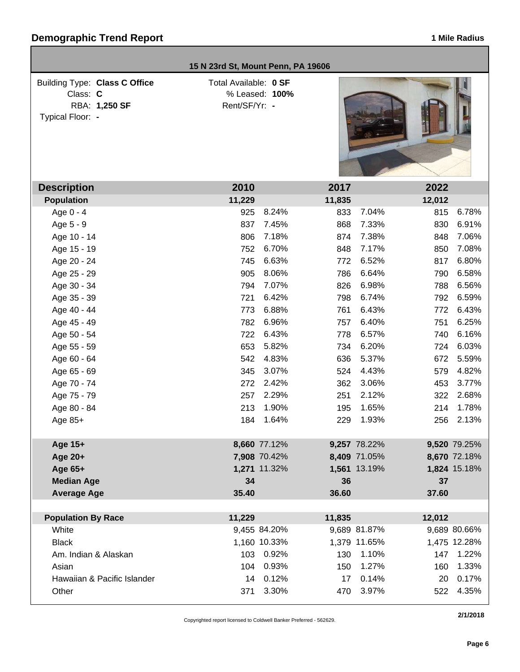|                                                                                       | 15 N 23rd St, Mount Penn, PA 19606     |                |        |              |        |              |
|---------------------------------------------------------------------------------------|----------------------------------------|----------------|--------|--------------|--------|--------------|
| <b>Building Type: Class C Office</b><br>Class: C<br>RBA: 1,250 SF<br>Typical Floor: - | Total Available: 0 SF<br>Rent/SF/Yr: - | % Leased: 100% |        |              |        |              |
| <b>Description</b>                                                                    | 2010                                   |                | 2017   |              | 2022   |              |
| <b>Population</b>                                                                     | 11,229                                 |                | 11,835 |              | 12,012 |              |
| Age 0 - 4                                                                             | 925                                    | 8.24%          | 833    | 7.04%        | 815    | 6.78%        |
| Age 5 - 9                                                                             | 837                                    | 7.45%          | 868    | 7.33%        | 830    | 6.91%        |
| Age 10 - 14                                                                           | 806                                    | 7.18%          | 874    | 7.38%        | 848    | 7.06%        |
| Age 15 - 19                                                                           | 752                                    | 6.70%          | 848    | 7.17%        | 850    | 7.08%        |
| Age 20 - 24                                                                           | 745                                    | 6.63%          | 772    | 6.52%        | 817    | 6.80%        |
| Age 25 - 29                                                                           | 905                                    | 8.06%          | 786    | 6.64%        | 790    | 6.58%        |
| Age 30 - 34                                                                           | 794                                    | 7.07%          | 826    | 6.98%        | 788    | 6.56%        |
| Age 35 - 39                                                                           | 721                                    | 6.42%          | 798    | 6.74%        | 792    | 6.59%        |
| Age 40 - 44                                                                           | 773                                    | 6.88%          | 761    | 6.43%        | 772    | 6.43%        |
| Age 45 - 49                                                                           | 782                                    | 6.96%          | 757    | 6.40%        | 751    | 6.25%        |
| Age 50 - 54                                                                           | 722                                    | 6.43%          | 778    | 6.57%        | 740    | 6.16%        |
| Age 55 - 59                                                                           | 653                                    | 5.82%          | 734    | 6.20%        | 724    | 6.03%        |
| Age 60 - 64                                                                           | 542                                    | 4.83%          | 636    | 5.37%        | 672    | 5.59%        |
| Age 65 - 69                                                                           | 345                                    | 3.07%          | 524    | 4.43%        | 579    | 4.82%        |
| Age 70 - 74                                                                           | 272                                    | 2.42%          | 362    | 3.06%        | 453    | 3.77%        |
| Age 75 - 79                                                                           | 257                                    | 2.29%          | 251    | 2.12%        | 322    | 2.68%        |
| Age 80 - 84                                                                           | 213                                    | 1.90%          | 195    | 1.65%        | 214    | 1.78%        |
| Age 85+                                                                               | 184                                    | 1.64%          | 229    | 1.93%        | 256    | 2.13%        |
| Age 15+                                                                               |                                        | 8,660 77.12%   |        | 9,257 78.22% |        | 9,520 79.25% |
| Age 20+                                                                               |                                        | 7,908 70.42%   |        | 8,409 71.05% |        | 8,670 72.18% |
| Age 65+                                                                               |                                        | 1,271 11.32%   |        | 1,561 13.19% |        | 1,824 15.18% |
| <b>Median Age</b>                                                                     | 34                                     |                | 36     |              | 37     |              |
| <b>Average Age</b>                                                                    | 35.40                                  |                | 36.60  |              | 37.60  |              |
|                                                                                       |                                        |                |        |              |        |              |
| <b>Population By Race</b>                                                             | 11,229                                 |                | 11,835 |              | 12,012 |              |
| White                                                                                 |                                        | 9,455 84.20%   |        | 9,689 81.87% |        | 9,689 80.66% |
| <b>Black</b>                                                                          |                                        | 1,160 10.33%   |        | 1,379 11.65% |        | 1,475 12.28% |
| Am. Indian & Alaskan                                                                  | 103                                    | 0.92%          | 130    | 1.10%        | 147    | 1.22%        |
| Asian                                                                                 | 104                                    | 0.93%          | 150    | 1.27%        | 160    | 1.33%        |
| Hawaiian & Pacific Islander                                                           | 14                                     | 0.12%          | 17     | 0.14%        | 20     | 0.17%        |
| Other                                                                                 | 371                                    | 3.30%          | 470    | 3.97%        | 522    | 4.35%        |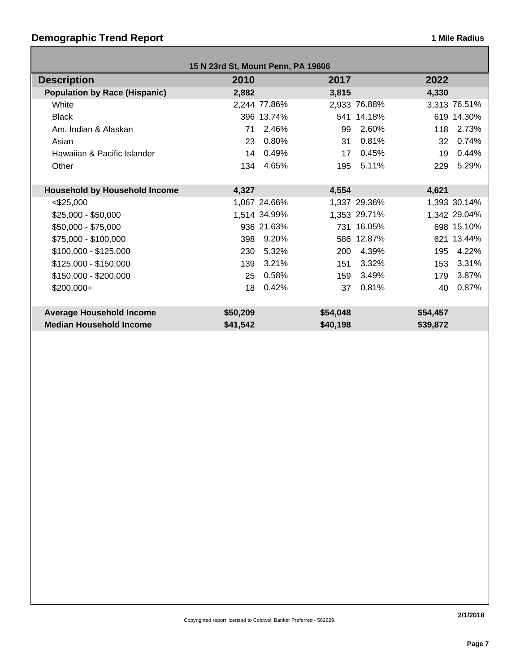# **Demographic Trend Report 1 Mile Radius 1 Mile Radius**

| 15 N 23rd St, Mount Penn, PA 19606   |          |              |          |              |          |              |
|--------------------------------------|----------|--------------|----------|--------------|----------|--------------|
| <b>Description</b>                   | 2010     |              | 2017     |              | 2022     |              |
| <b>Population by Race (Hispanic)</b> | 2,882    |              | 3,815    |              | 4,330    |              |
| White                                |          | 2,244 77.86% |          | 2,933 76.88% |          | 3,313 76.51% |
| <b>Black</b>                         |          | 396 13.74%   |          | 541 14.18%   |          | 619 14.30%   |
| Am. Indian & Alaskan                 | 71       | 2.46%        | 99       | 2.60%        | 118      | 2.73%        |
| Asian                                | 23       | 0.80%        | 31       | 0.81%        | 32       | 0.74%        |
| Hawaiian & Pacific Islander          | 14       | 0.49%        | 17       | 0.45%        | 19       | 0.44%        |
| Other                                | 134      | 4.65%        | 195      | 5.11%        | 229      | 5.29%        |
|                                      |          |              |          |              |          |              |
| <b>Household by Household Income</b> | 4,327    |              | 4,554    |              | 4,621    |              |
| $<$ \$25,000                         |          | 1,067 24.66% |          | 1,337 29.36% |          | 1,393 30.14% |
| $$25,000 - $50,000$                  |          | 1,514 34.99% |          | 1,353 29.71% |          | 1,342 29.04% |
| \$50,000 - \$75,000                  |          | 936 21.63%   |          | 731 16.05%   |          | 698 15.10%   |
| \$75,000 - \$100,000                 | 398      | 9.20%        |          | 586 12.87%   |          | 621 13.44%   |
| $$100,000 - $125,000$                | 230      | 5.32%        | 200      | 4.39%        | 195      | 4.22%        |
| $$125,000 - $150,000$                | 139      | 3.21%        | 151      | 3.32%        | 153      | 3.31%        |
| $$150,000 - $200,000$                | 25       | 0.58%        | 159      | 3.49%        | 179      | 3.87%        |
| $$200,000+$                          | 18       | 0.42%        | 37       | 0.81%        | 40       | 0.87%        |
|                                      |          |              |          |              |          |              |
| <b>Average Household Income</b>      | \$50,209 |              | \$54,048 |              | \$54,457 |              |
| <b>Median Household Income</b>       | \$41,542 |              | \$40,198 |              | \$39,872 |              |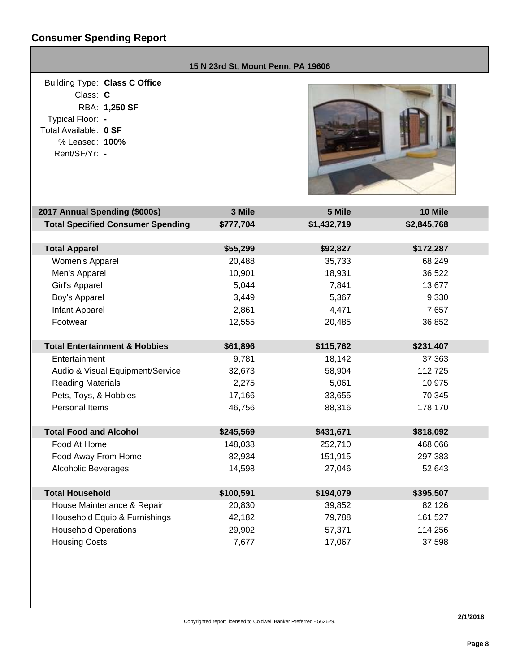## **Consumer Spending Report**

| 15 N 23rd St, Mount Penn, PA 19606                                                                                                                                                                                                                                                                |                                                                                                                               |                                                                                                                                 |                                                                                                                                      |  |  |
|---------------------------------------------------------------------------------------------------------------------------------------------------------------------------------------------------------------------------------------------------------------------------------------------------|-------------------------------------------------------------------------------------------------------------------------------|---------------------------------------------------------------------------------------------------------------------------------|--------------------------------------------------------------------------------------------------------------------------------------|--|--|
| Building Type: Class C Office<br>Class: C<br>RBA: 1,250 SF<br>Typical Floor: -<br>Total Available: 0 SF<br>% Leased: 100%<br>Rent/SF/Yr: -                                                                                                                                                        |                                                                                                                               |                                                                                                                                 |                                                                                                                                      |  |  |
| 2017 Annual Spending (\$000s)                                                                                                                                                                                                                                                                     | 3 Mile                                                                                                                        | 5 Mile                                                                                                                          | 10 Mile                                                                                                                              |  |  |
| <b>Total Specified Consumer Spending</b>                                                                                                                                                                                                                                                          | \$777,704                                                                                                                     | \$1,432,719                                                                                                                     | \$2,845,768                                                                                                                          |  |  |
| <b>Total Apparel</b><br>Women's Apparel<br>Men's Apparel<br>Girl's Apparel<br>Boy's Apparel<br>Infant Apparel<br>Footwear<br><b>Total Entertainment &amp; Hobbies</b><br>Entertainment<br>Audio & Visual Equipment/Service<br><b>Reading Materials</b><br>Pets, Toys, & Hobbies<br>Personal Items | \$55,299<br>20,488<br>10,901<br>5,044<br>3,449<br>2,861<br>12,555<br>\$61,896<br>9,781<br>32,673<br>2,275<br>17,166<br>46,756 | \$92,827<br>35,733<br>18,931<br>7,841<br>5,367<br>4,471<br>20,485<br>\$115,762<br>18,142<br>58,904<br>5,061<br>33,655<br>88,316 | \$172,287<br>68,249<br>36,522<br>13,677<br>9,330<br>7,657<br>36,852<br>\$231,407<br>37,363<br>112,725<br>10,975<br>70,345<br>178,170 |  |  |
| <b>Total Food and Alcohol</b>                                                                                                                                                                                                                                                                     | \$245,569                                                                                                                     | \$431,671                                                                                                                       | \$818,092                                                                                                                            |  |  |
| Food At Home<br>Food Away From Home<br><b>Alcoholic Beverages</b>                                                                                                                                                                                                                                 | 148,038<br>82,934<br>14,598                                                                                                   | 252,710<br>151,915<br>27,046                                                                                                    | 468,066<br>297,383<br>52,643                                                                                                         |  |  |
| <b>Total Household</b>                                                                                                                                                                                                                                                                            | \$100,591                                                                                                                     | \$194,079                                                                                                                       | \$395,507                                                                                                                            |  |  |
| House Maintenance & Repair<br>Household Equip & Furnishings<br><b>Household Operations</b><br><b>Housing Costs</b>                                                                                                                                                                                | 20,830<br>42,182<br>29,902<br>7,677                                                                                           | 39,852<br>79,788<br>57,371<br>17,067                                                                                            | 82,126<br>161,527<br>114,256<br>37,598                                                                                               |  |  |
|                                                                                                                                                                                                                                                                                                   |                                                                                                                               |                                                                                                                                 |                                                                                                                                      |  |  |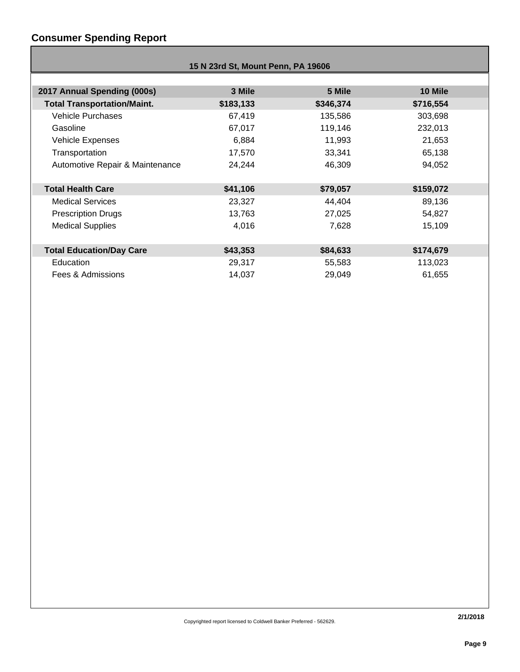## **Consumer Spending Report**

|                                    | 15 N 23rd St, Mount Penn, PA 19606 |           |           |  |  |  |
|------------------------------------|------------------------------------|-----------|-----------|--|--|--|
|                                    |                                    |           |           |  |  |  |
| 2017 Annual Spending (000s)        | 3 Mile                             | 5 Mile    | 10 Mile   |  |  |  |
| <b>Total Transportation/Maint.</b> | \$183,133                          | \$346,374 | \$716,554 |  |  |  |
| <b>Vehicle Purchases</b>           | 67,419                             | 135,586   | 303,698   |  |  |  |
| Gasoline                           | 67,017                             | 119,146   | 232,013   |  |  |  |
| Vehicle Expenses                   | 6,884                              | 11,993    | 21,653    |  |  |  |
| Transportation                     | 17,570                             | 33,341    | 65,138    |  |  |  |
| Automotive Repair & Maintenance    | 24,244                             | 46,309    | 94,052    |  |  |  |
|                                    |                                    |           |           |  |  |  |
| <b>Total Health Care</b>           | \$41,106                           | \$79,057  | \$159,072 |  |  |  |
| <b>Medical Services</b>            | 23,327                             | 44,404    | 89,136    |  |  |  |
| <b>Prescription Drugs</b>          | 13,763                             | 27,025    | 54,827    |  |  |  |
| <b>Medical Supplies</b>            | 4,016                              | 7,628     | 15,109    |  |  |  |
|                                    |                                    |           |           |  |  |  |
| <b>Total Education/Day Care</b>    | \$43,353                           | \$84,633  | \$174,679 |  |  |  |
| Education                          | 29,317                             | 55,583    | 113,023   |  |  |  |
| Fees & Admissions                  | 14,037                             | 29,049    | 61,655    |  |  |  |
|                                    |                                    |           |           |  |  |  |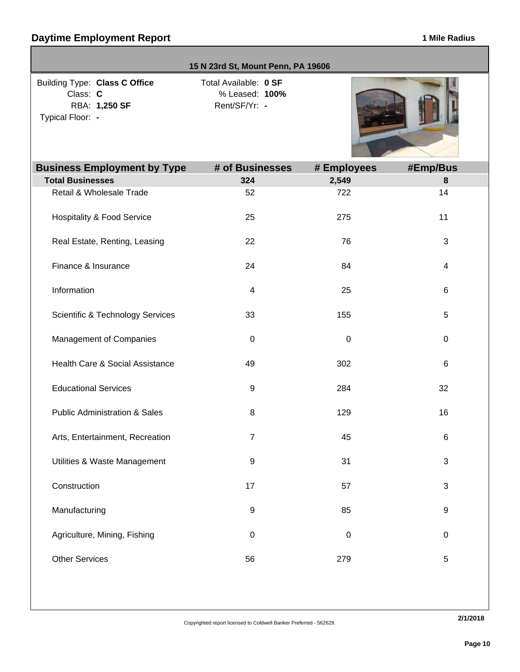|                                                                                | 15 N 23rd St, Mount Penn, PA 19606                       |             |           |
|--------------------------------------------------------------------------------|----------------------------------------------------------|-------------|-----------|
| Building Type: Class C Office<br>Class: C<br>RBA: 1,250 SF<br>Typical Floor: - | Total Available: 0 SF<br>% Leased: 100%<br>Rent/SF/Yr: - |             |           |
| <b>Business Employment by Type</b>                                             | # of Businesses                                          | # Employees | #Emp/Bus  |
| <b>Total Businesses</b>                                                        | 324                                                      | 2,549       | $\bf 8$   |
| Retail & Wholesale Trade                                                       | 52                                                       | 722         | 14        |
| <b>Hospitality &amp; Food Service</b>                                          | 25                                                       | 275         | 11        |
| Real Estate, Renting, Leasing                                                  | 22                                                       | 76          | 3         |
| Finance & Insurance                                                            | 24                                                       | 84          | 4         |
| Information                                                                    | 4                                                        | 25          | $\,6$     |
| <b>Scientific &amp; Technology Services</b>                                    | 33                                                       | 155         | 5         |
| Management of Companies                                                        | $\mathbf 0$                                              | $\pmb{0}$   | 0         |
| Health Care & Social Assistance                                                | 49                                                       | 302         | 6         |
| <b>Educational Services</b>                                                    | 9                                                        | 284         | 32        |
| <b>Public Administration &amp; Sales</b>                                       | 8                                                        | 129         | 16        |
| Arts, Entertainment, Recreation                                                | 7                                                        | 45          | 6         |
| Utilities & Waste Management                                                   | $\boldsymbol{9}$                                         | 31          | 3         |
| Construction                                                                   | 17                                                       | 57          | 3         |
| Manufacturing                                                                  | 9                                                        | 85          | 9         |
| Agriculture, Mining, Fishing                                                   | $\mathbf 0$                                              | $\pmb{0}$   | $\pmb{0}$ |
| <b>Other Services</b>                                                          | 56                                                       | 279         | 5         |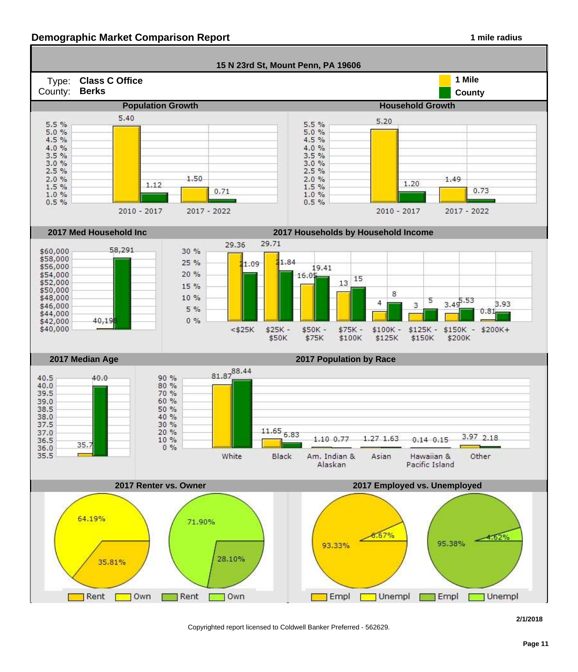#### **Demographic Market Comparison Report 1 mile radius 1 mile radius**



Copyrighted report licensed to Coldwell Banker Preferred - 562629.